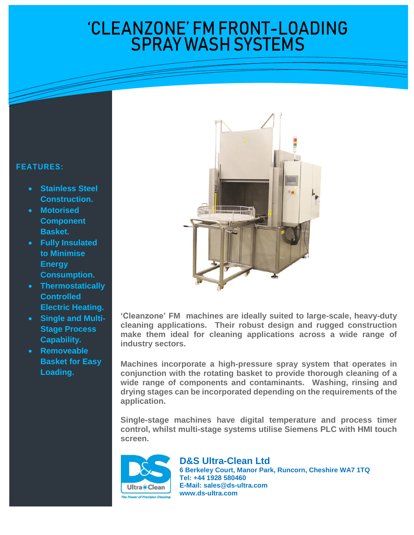## 'CLEANZONE' FM FRONT-LOADING SPRAY WASH SYSTEMS

## **FEATURES:**

- **Stainless Steel Construction.**
- **Motorised Component Basket.**
- **Fully Insulated to Minimise Energy Consumption.**
- **Thermostatically Controlled Electric Heating.**
- **Single and Multi-Stage Process Capability.**
- **Removeable Basket for Easy Loading.**



 **'Cleanzone' FM machines are ideally suited to large-scale, heavy-duty cleaning applications. Their robust design and rugged construction make them ideal for cleaning applications across a wide range of industry sectors.**

**Machines incorporate a high-pressure spray system that operates in conjunction with the rotating basket to provide thorough cleaning of a wide range of components and contaminants. Washing, rinsing and drying stages can be incorporated depending on the requirements of the application.**

**Single-stage machines have digital temperature and process timer control, whilst multi-stage systems utilise Siemens PLC with HMI touch screen.**



**D&S Ultra-Clean Ltd 6 Berkeley Court, Manor Park, Runcorn, Cheshire WA7 1TQ Tel: +44 1928 580460 E-Mail: [sales@ds-ultra.com](mailto:sales@ds-ultra.com) www.ds-ultra.com**